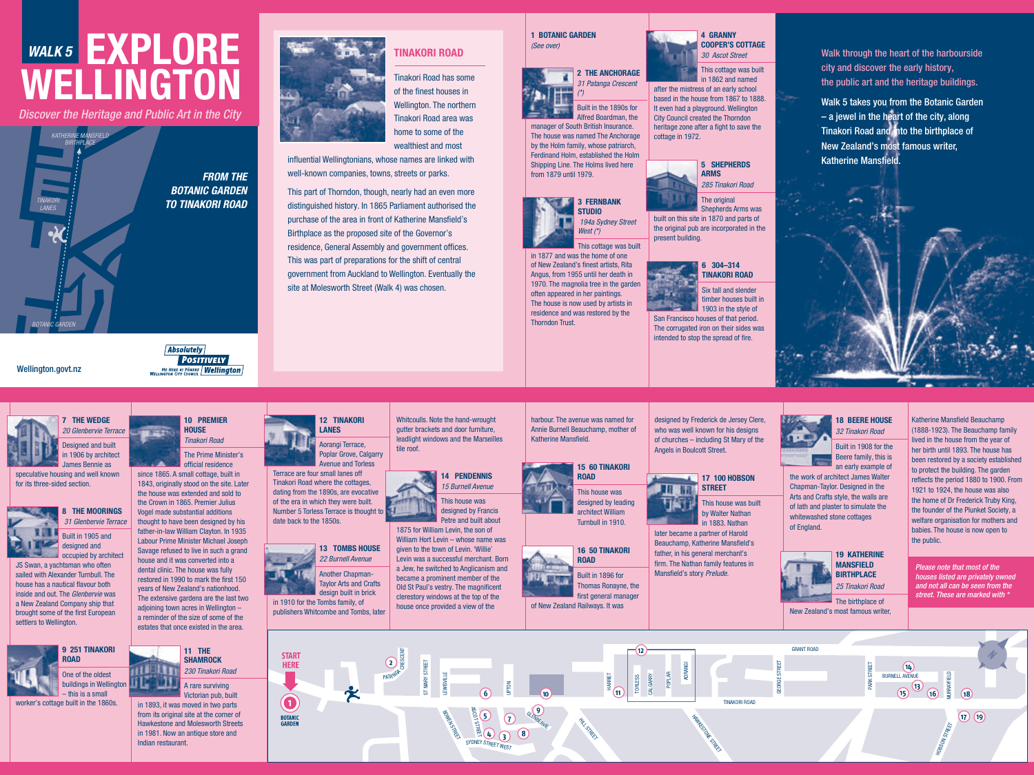1 BOTANIC GARDEN *(See over)*

> 2 THE ANCHORAGE *31 Patanga Crescent*  Built in the 1890s for



Alfred Boardman, the manager of South British Insurance. The house was named The Anchorage

by the Holm family, whose patriarch, Ferdinand Holm, established the Holm Shipping Line. The Holms lived here from 1879 until 1979.



in 1877 and was the home of one of New Zealand's finest artists, Rita Angus, from 1955 until her death in 1970. The magnolia tree in the garden often appeared in her paintings. The house is now used by artists in residence and was restored by the Thorndon Trust.

4 GRANNY COOPER'S COTTAGE *30 Ascot Street*

This cottage was built

sailed with Alexander Turnbull. The house has a nautical flavour both inside and out. The *Glenbervie* was a New Zealand Company ship that brought some of the first European settlers to Wellington.

in 1862 and named after the mistress of an early school based in the house from 1867 to 1888. It even had a playground. Wellington City Council created the Thorndon heritage zone after a fight to save the cottage in 1972.

> 5 SHEPHERDS ARMS *285 Tinakori Road*



Shepherds Arms was built on this site in 1870 and parts of the original pub are incorporated in the present building.



6 304–314 TINAKORI RoaD

Six tall and slender timber houses built in 1903 in the style of San Francisco houses of that period. The corrugated iron on their sides was intended to stop the spread of fire.

7 THE WEDGE

*20 Glenbervie Terrace* Designed and built in 1906 by architect James Bennie as

speculative housing and well known for its three-sided section.

Avenue and Torless Terrace are four small lanes off Tinakori Road where the cottages, dating from the 1890s, are evocative of the era in which they were built. Number 5 Torless Terrace is thought to



Built in 1905 and designed and occupied by architect JS Swan, a yachtsman who often

Another Chapman-Taylor Arts and Crafts design built in brick



10 PREMIER **HOUSE** *Tinakori Road*

The Prime Minister's

first general manager of New Zealand Railways. It was

official residence since 1865. A small cottage, built in 1843, originally stood on the site. Later the house was extended and sold to the Crown in 1865. Premier Julius Vogel made substantial additions thought to have been designed by his father-in-law William Clayton. In 1935 Labour Prime Minister Michael Joseph Savage refused to live in such a grand house and it was converted into a dental clinic. The house was fully restored in 1990 to mark the first 150 years of New Zealand's nationhood. The extensive gardens are the last two adioining town acres in Wellington a reminder of the size of some of the estates that once existed in the area.

## **EXPLORE** WELLINGTO *WALK 5*

11 THE SHAMROCK *230 Tinakori Road* A rare surviving Victorian pub, built

in 1893, it was moved in two parts from its original site at the corner of Hawkestone and Molesworth Streets in 1981. Now an antique store and

Indian restaurant.

ill Br וס מיוו





## 13 TOMBS HOUSE

in 1910 for the Tombs family, of publishers Whitcombe and Tombs, later

**START** 

**HERE** 

0

**BOTANIC**<br>GARDEN



GRANT ROAD  $(12)$ CRESCENT  $\Omega$ ST MARY STREET GEORGE STREET AORANGI PATANGA LEWISVILLE  $\mathbb{E}$ HARRIET CALGARRY TORLESS UPTON TINAKORI ROAD  $\frac{a_1}{b_1}$  (b)  $\frac{a_2}{b_2}$  (c)  $\frac{a_3}{b_3}$  (e)  $\frac{a_4}{b_4}$ BOWER STREET HAWKESTONE STREET HILL STREET SYDNEY STREET WEST





a Jew, he switched to Anglicanism and became a prominent member of the Old St Paul's vestry. The magnificent clerestory windows at the top of the

house once provided a view of the

harbour. The avenue was named for Annie Burnell Beauchamp, mother of Katherine Mansfield.



designed by leading Turnbull in 1910.







This house was built by Walter Nathan in 1883. Nathan

later became a partner of Harold Beauchamp, Katherine Mansfield's father, in his general merchant's firm. The Nathan family features in Mansfield's story *Prelude*.



Walk through the heart of the harbourside city and discover the early history, the public art and the heritage buildings.

Walk 5 takes you from the Botanic Garden – a jewel in the heart of the city, along Tinakori Road and into the birthplace of New Zealand's most famous writer, Katherine Mansfield.



*Discover the Heritage and Public Art in the City*

#### Tinakori road

Tinakori Road has some of the finest houses in Wellington. The northern Tinakori Road area was home to some of the wealthiest and most

influential Wellingtonians, whose names are linked with well-known companies, towns, streets or parks.



This part of Thorndon, though, nearly had an even more distinguished history. In 1865 Parliament authorised the purchase of the area in front of Katherine Mansfield's Birthplace as the proposed site of the Governor's residence, General Assembly and government offices. This was part of preparations for the shift of central government from Auckland to Wellington. Eventually the site at Molesworth Street (Walk 4) was chosen.

Wellington.govt.nz

**Absolutely POSITIVELY ME HEKE KI PÖNEKE** | Wellington |



#### 18 BEERE HOUSE *32 Tinakori Road*

Built in 1908 for the Beere family, this is an early example of the work of architect James Walter

Chapman-Taylor. Designed in the Arts and Crafts style, the walls are of lath and plaster to simulate the whitewashed stone cottages of England.



19 KATHERINE MANSFIELD **BIRTHPLACE** *25 Tinakori Road*

The birthplace of New Zealand's most famous writer, Katherine Mansfield Beauchamp (1888-1923). The Beauchamp family lived in the house from the year of her birth until 1893. The house has been restored by a society established to protect the building. The garden reflects the period 1880 to 1900. From 1921 to 1924, the house was also the home of Dr Frederick Truby King, the founder of the Plunket Society, a welfare organisation for mothers and babies. The house is now open to the public.

*Please note that most of the houses listed are privately owned and not all can be seen from the street. These are marked with \**

**HOBSON STREET** 

PARK STREET

BURNELL AVENUE

 $(15)$ 

 $(14)$ 

 $\mathcal{L}(3)$ 

MURRAYFIELD

 $\sqrt{18}$ 

 $(17)(19)$ 

**NHHA**  $\overline{16}$